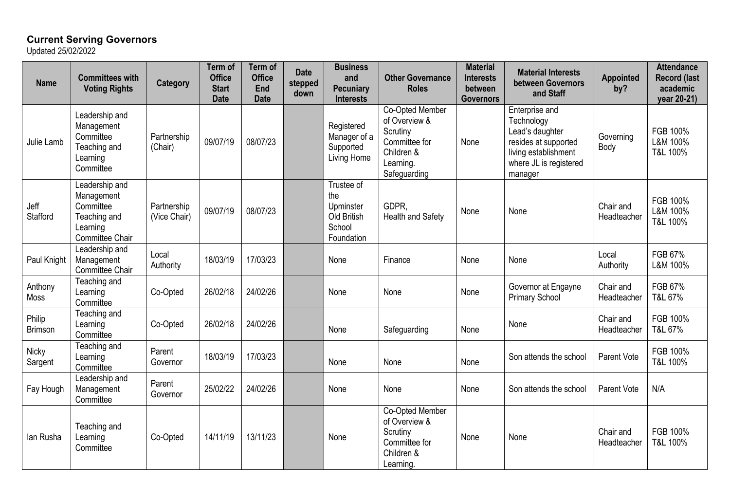## **Current Serving Governors**

Updated 25/02/2022

| <b>Name</b>             | <b>Committees with</b><br><b>Voting Rights</b>                                           | Category                    | <b>Term of</b><br><b>Office</b><br><b>Start</b><br><b>Date</b> | <b>Term of</b><br><b>Office</b><br>End<br><b>Date</b> | <b>Date</b><br>stepped<br>down | <b>Business</b><br>and<br><b>Pecuniary</b><br><b>Interests</b>        | <b>Other Governance</b><br><b>Roles</b>                                                                  | <b>Material</b><br><b>Interests</b><br>between<br><b>Governors</b> | <b>Material Interests</b><br>between Governors<br>and Staff                                                                          | Appointed<br>by?         | <b>Attendance</b><br><b>Record (last</b><br>academic<br>year 20-21) |
|-------------------------|------------------------------------------------------------------------------------------|-----------------------------|----------------------------------------------------------------|-------------------------------------------------------|--------------------------------|-----------------------------------------------------------------------|----------------------------------------------------------------------------------------------------------|--------------------------------------------------------------------|--------------------------------------------------------------------------------------------------------------------------------------|--------------------------|---------------------------------------------------------------------|
| Julie Lamb              | Leadership and<br>Management<br>Committee<br>Teaching and<br>Learning<br>Committee       | Partnership<br>(Chair)      | 09/07/19                                                       | 08/07/23                                              |                                | Registered<br>Manager of a<br>Supported<br>Living Home                | Co-Opted Member<br>of Overview &<br>Scrutiny<br>Committee for<br>Children &<br>Learning.<br>Safeguarding | None                                                               | Enterprise and<br>Technology<br>Lead's daughter<br>resides at supported<br>living establishment<br>where JL is registered<br>manager | Governing<br>Body        | FGB 100%<br>L&M 100%<br>T&L 100%                                    |
| Jeff<br><b>Stafford</b> | Leadership and<br>Management<br>Committee<br>Teaching and<br>Learning<br>Committee Chair | Partnership<br>(Vice Chair) | 09/07/19                                                       | 08/07/23                                              |                                | Trustee of<br>the<br>Upminster<br>Old British<br>School<br>Foundation | GDPR,<br>Health and Safety                                                                               | None                                                               | None                                                                                                                                 | Chair and<br>Headteacher | FGB 100%<br>L&M 100%<br>T&L 100%                                    |
| Paul Knight             | Leadership and<br>Management<br>Committee Chair                                          | Local<br>Authority          | 18/03/19                                                       | 17/03/23                                              |                                | None                                                                  | Finance                                                                                                  | None                                                               | None                                                                                                                                 | Local<br>Authority       | FGB 67%<br>L&M 100%                                                 |
| Anthony<br><b>Moss</b>  | Teaching and<br>Learning<br>Committee                                                    | Co-Opted                    | 26/02/18                                                       | 24/02/26                                              |                                | None                                                                  | None                                                                                                     | None                                                               | Governor at Engayne<br><b>Primary School</b>                                                                                         | Chair and<br>Headteacher | FGB 67%<br>T&L 67%                                                  |
| Philip<br>Brimson       | Teaching and<br>Learning<br>Committee                                                    | Co-Opted                    | 26/02/18                                                       | 24/02/26                                              |                                | None                                                                  | Safeguarding                                                                                             | None                                                               | None                                                                                                                                 | Chair and<br>Headteacher | FGB 100%<br>T&L 67%                                                 |
| <b>Nicky</b><br>Sargent | Teaching and<br>Learning<br>Committee                                                    | Parent<br>Governor          | 18/03/19                                                       | 17/03/23                                              |                                | None                                                                  | None                                                                                                     | None                                                               | Son attends the school                                                                                                               | Parent Vote              | FGB 100%<br>T&L 100%                                                |
| Fay Hough               | Leadership and<br>Management<br>Committee                                                | Parent<br>Governor          | 25/02/22                                                       | 24/02/26                                              |                                | None                                                                  | None                                                                                                     | None                                                               | Son attends the school                                                                                                               | Parent Vote              | N/A                                                                 |
| lan Rusha               | Teaching and<br>Learning<br>Committee                                                    | Co-Opted                    | 14/11/19                                                       | 13/11/23                                              |                                | None                                                                  | Co-Opted Member<br>of Overview &<br>Scrutiny<br>Committee for<br>Children &<br>Learning.                 | None                                                               | None                                                                                                                                 | Chair and<br>Headteacher | FGB 100%<br>T&L 100%                                                |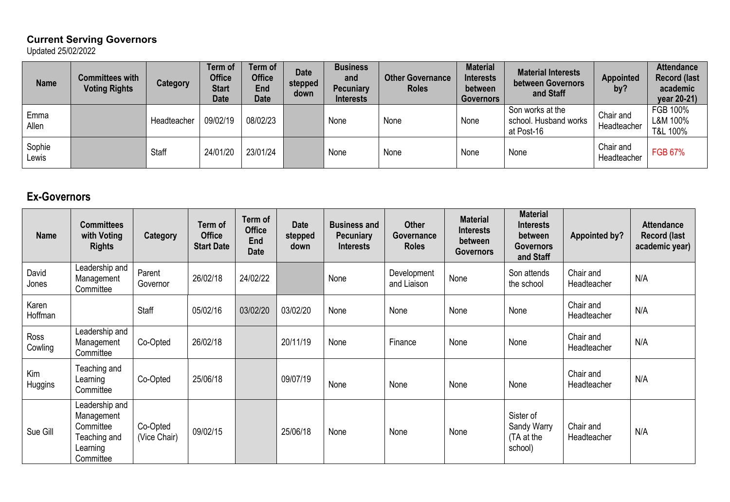## **Current Serving Governors** Updated 25/02/2022

| <b>Name</b>     | <b>Committees with</b><br><b>Voting Rights</b> | Category    | Term of<br><b>Office</b><br><b>Start</b><br><b>Date</b> | Term of<br><b>Office</b><br>End<br><b>Date</b> | <b>Date</b><br>stepped<br>down | <b>Business</b><br>and<br><b>Pecuniary</b><br><b>Interests</b> | <b>Other Governance</b><br><b>Roles</b> | <b>Material</b><br><b>Interests</b><br>between<br><b>Governors</b> | <b>Material Interests</b><br>between Governors<br>and Staff | Appointed<br>by?         | <b>Attendar</b><br>Record (<br>academ<br>year 20- |
|-----------------|------------------------------------------------|-------------|---------------------------------------------------------|------------------------------------------------|--------------------------------|----------------------------------------------------------------|-----------------------------------------|--------------------------------------------------------------------|-------------------------------------------------------------|--------------------------|---------------------------------------------------|
| Emma<br>Allen   |                                                | Headteacher | 09/02/19                                                | 08/02/23                                       |                                | None                                                           | None                                    | None                                                               | Son works at the<br>school. Husband works<br>at Post-16     | Chair and<br>Headteacher | FGB 100%<br>L&M 100%<br>T&L 100%                  |
| Sophie<br>Lewis |                                                | Staff       | 24/01/20                                                | 23/01/24                                       |                                | None                                                           | None                                    | None                                                               | None                                                        | Chair and<br>Headteacher | <b>FGB 67%</b>                                    |

**Attendance Record (last academic year 20-21)**

## **Ex-Governors**

| <b>Name</b>      | <b>Committees</b><br>with Voting<br><b>Rights</b>                                  | <b>Category</b>          | Term of<br><b>Office</b><br><b>Start Date</b> | Term of<br><b>Office</b><br>End<br><b>Date</b> | <b>Date</b><br>stepped<br>down | <b>Business and</b><br><b>Pecuniary</b><br><b>Interests</b> | <b>Other</b><br>Governance<br><b>Roles</b> | <b>Material</b><br><b>Interests</b><br>between<br><b>Governors</b> | <b>Material</b><br><b>Interests</b><br>between<br><b>Governors</b><br>and Staff | <b>Appointed by?</b>     | <b>Attendance</b><br><b>Record (last</b><br>academic year) |
|------------------|------------------------------------------------------------------------------------|--------------------------|-----------------------------------------------|------------------------------------------------|--------------------------------|-------------------------------------------------------------|--------------------------------------------|--------------------------------------------------------------------|---------------------------------------------------------------------------------|--------------------------|------------------------------------------------------------|
| David<br>Jones   | Leadership and<br>Management<br>Committee                                          | Parent<br>Governor       | 26/02/18                                      | 24/02/22                                       |                                | None                                                        | Development<br>and Liaison                 | None                                                               | Son attends<br>the school                                                       | Chair and<br>Headteacher | N/A                                                        |
| Karen<br>Hoffman |                                                                                    | Staff                    | 05/02/16                                      | 03/02/20                                       | 03/02/20                       | None                                                        | None                                       | None                                                               | None                                                                            | Chair and<br>Headteacher | N/A                                                        |
| Ross<br>Cowling  | Leadership and<br>Management<br>Committee                                          | Co-Opted                 | 26/02/18                                      |                                                | 20/11/19                       | None                                                        | Finance                                    | None                                                               | None                                                                            | Chair and<br>Headteacher | N/A                                                        |
| Kim<br>Huggins   | Teaching and<br>Learning<br>Committee                                              | Co-Opted                 | 25/06/18                                      |                                                | 09/07/19                       | None                                                        | None                                       | None                                                               | None                                                                            | Chair and<br>Headteacher | N/A                                                        |
| Sue Gill         | Leadership and<br>Management<br>Committee<br>Teaching and<br>Learning<br>Committee | Co-Opted<br>(Vice Chair) | 09/02/15                                      |                                                | 25/06/18                       | None                                                        | None                                       | None                                                               | Sister of<br>Sandy Warry<br>(TA at the<br>school)                               | Chair and<br>Headteacher | N/A                                                        |